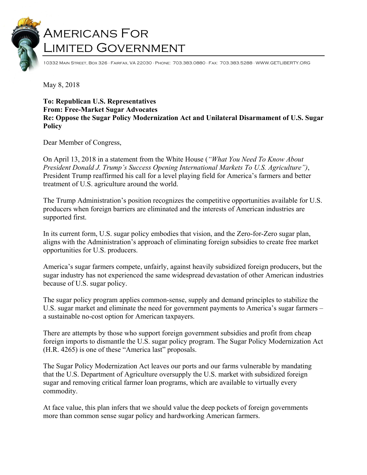## Americans For Limited Government

10332 Main Street, Box 326 · Fairfax, VA 22030 · Phone: 703.383.0880 · Fax: 703.383.5288 · WWW.GETLIBERTY.ORG

May 8, 2018

## **To: Republican U.S. Representatives From: Free-Market Sugar Advocates Re: Oppose the Sugar Policy Modernization Act and Unilateral Disarmament of U.S. Sugar Policy**

Dear Member of Congress,

On April 13, 2018 in a statement from the White House (*"What You Need To Know About President Donald J. Trump's Success Opening International Markets To U.S. Agriculture")*, President Trump reaffirmed his call for a level playing field for America's farmers and better treatment of U.S. agriculture around the world.

The Trump Administration's position recognizes the competitive opportunities available for U.S. producers when foreign barriers are eliminated and the interests of American industries are supported first.

In its current form, U.S. sugar policy embodies that vision, and the Zero-for-Zero sugar plan, aligns with the Administration's approach of eliminating foreign subsidies to create free market opportunities for U.S. producers.

America's sugar farmers compete, unfairly, against heavily subsidized foreign producers, but the sugar industry has not experienced the same widespread devastation of other American industries because of U.S. sugar policy.

The sugar policy program applies common-sense, supply and demand principles to stabilize the U.S. sugar market and eliminate the need for government payments to America's sugar farmers – a sustainable no-cost option for American taxpayers.

There are attempts by those who support foreign government subsidies and profit from cheap foreign imports to dismantle the U.S. sugar policy program. The Sugar Policy Modernization Act (H.R. 4265) is one of these "America last" proposals.

The Sugar Policy Modernization Act leaves our ports and our farms vulnerable by mandating that the U.S. Department of Agriculture oversupply the U.S. market with subsidized foreign sugar and removing critical farmer loan programs, which are available to virtually every commodity.

At face value, this plan infers that we should value the deep pockets of foreign governments more than common sense sugar policy and hardworking American farmers.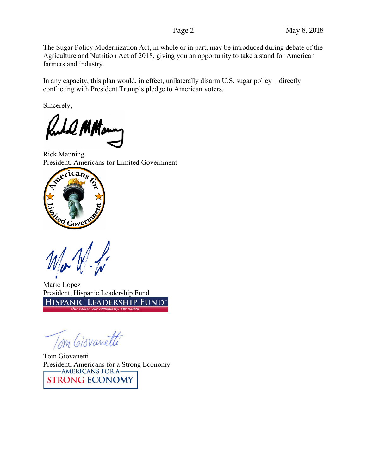The Sugar Policy Modernization Act, in whole or in part, may be introduced during debate of the Agriculture and Nutrition Act of 2018, giving you an opportunity to take a stand for American farmers and industry.

In any capacity, this plan would, in effect, unilaterally disarm U.S. sugar policy – directly conflicting with President Trump's pledge to American voters.

Sincerely,

10 MHour

Rick Manning President, Americans for Limited Government



Mario Lopez President, Hispanic Leadership Fund HISPANIC LEADERSHIP FUND

Tom Giovanetti

Tom Giovanetti President, Americans for a Strong Economy<br>
MERICANS FOR A **STRONG ECONOMY**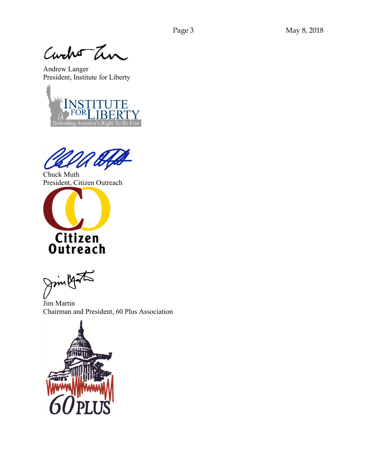Curcho Tin

Andrew Langer President, Institute for Liberty



Chuck Muth President, Citizen Outreach



Jim youth

Jim Martin Chairman and President, 60 Plus Association